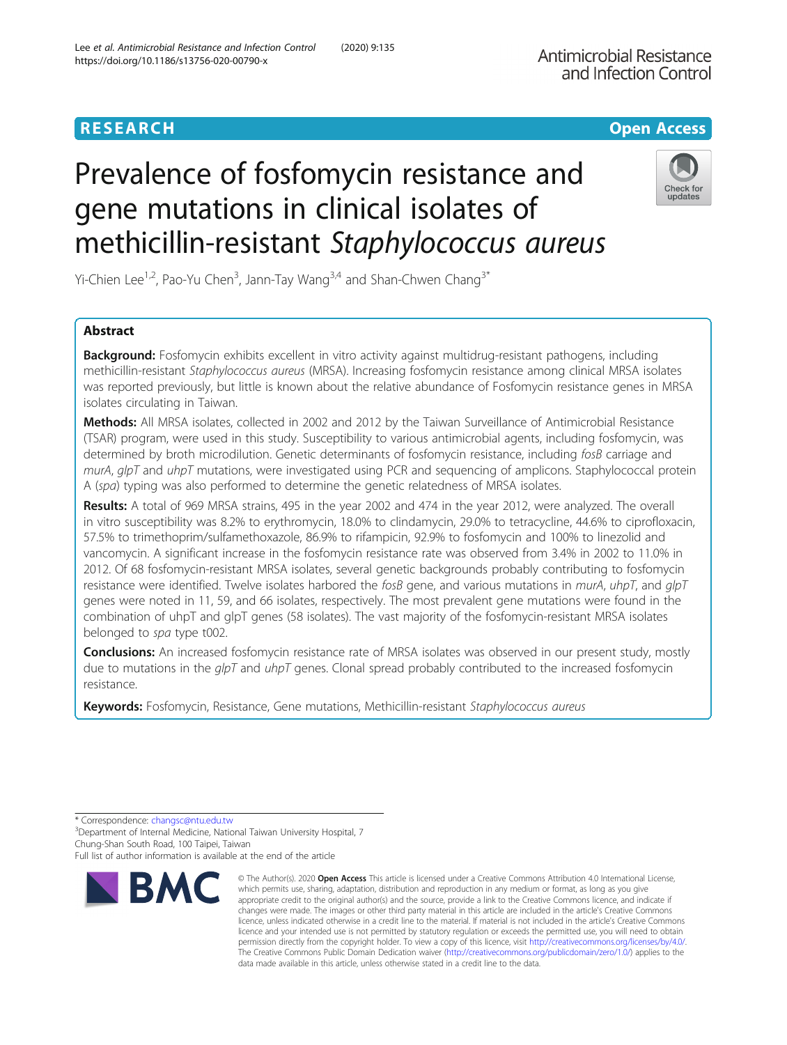# Prevalence of fosfomycin resistance and gene mutations in clinical isolates of methicillin-resistant Staphylococcus aureus

Yi-Chien Lee<sup>1,2</sup>, Pao-Yu Chen<sup>3</sup>, Jann-Tay Wang<sup>3,4</sup> and Shan-Chwen Chang<sup>3\*</sup>

# Abstract

Background: Fosfomycin exhibits excellent in vitro activity against multidrug-resistant pathogens, including methicillin-resistant Staphylococcus aureus (MRSA). Increasing fosfomycin resistance among clinical MRSA isolates was reported previously, but little is known about the relative abundance of Fosfomycin resistance genes in MRSA isolates circulating in Taiwan.

Methods: All MRSA isolates, collected in 2002 and 2012 by the Taiwan Surveillance of Antimicrobial Resistance (TSAR) program, were used in this study. Susceptibility to various antimicrobial agents, including fosfomycin, was determined by broth microdilution. Genetic determinants of fosfomycin resistance, including fosB carriage and murA,  $a|pT$  and  $uhpT$  mutations, were investigated using PCR and sequencing of amplicons. Staphylococcal protein A (spa) typing was also performed to determine the genetic relatedness of MRSA isolates.

Results: A total of 969 MRSA strains, 495 in the year 2002 and 474 in the year 2012, were analyzed. The overall in vitro susceptibility was 8.2% to erythromycin, 18.0% to clindamycin, 29.0% to tetracycline, 44.6% to ciprofloxacin, 57.5% to trimethoprim/sulfamethoxazole, 86.9% to rifampicin, 92.9% to fosfomycin and 100% to linezolid and vancomycin. A significant increase in the fosfomycin resistance rate was observed from 3.4% in 2002 to 11.0% in 2012. Of 68 fosfomycin-resistant MRSA isolates, several genetic backgrounds probably contributing to fosfomycin resistance were identified. Twelve isolates harbored the fosB gene, and various mutations in murA, uhpT, and glpT genes were noted in 11, 59, and 66 isolates, respectively. The most prevalent gene mutations were found in the combination of uhpT and glpT genes (58 isolates). The vast majority of the fosfomycin-resistant MRSA isolates belonged to spa type t002.

**Conclusions:** An increased fosfomycin resistance rate of MRSA isolates was observed in our present study, mostly due to mutations in the  $q/pT$  and  $uhpT$  genes. Clonal spread probably contributed to the increased fosfomycin resistance.

Keywords: Fosfomycin, Resistance, Gene mutations, Methicillin-resistant Staphylococcus aureus

\* Correspondence: [changsc@ntu.edu.tw](mailto:changsc@ntu.edu.tw) <sup>3</sup>

**RMC** 

<sup>3</sup>Department of Internal Medicine, National Taiwan University Hospital, 7 Chung-Shan South Road, 100 Taipei, Taiwan

Full list of author information is available at the end of the article



© The Author(s), 2020 **Open Access** This article is licensed under a Creative Commons Attribution 4.0 International License, which permits use, sharing, adaptation, distribution and reproduction in any medium or format, as long as you give





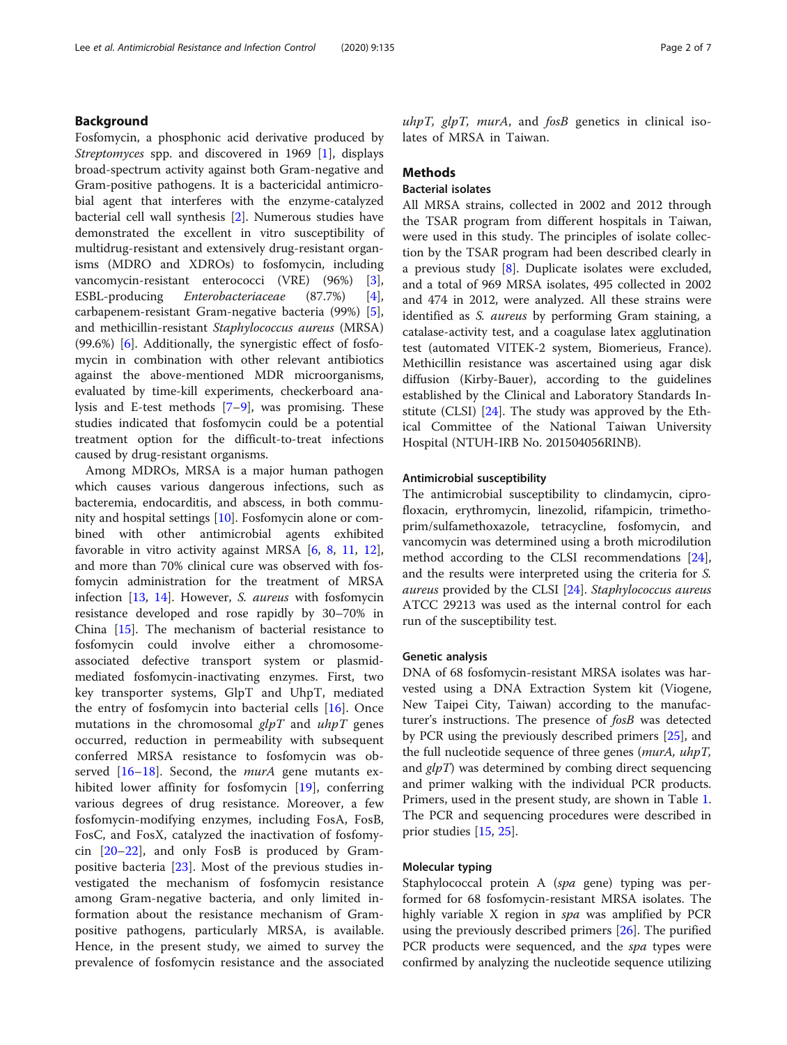# Background

Fosfomycin, a phosphonic acid derivative produced by Streptomyces spp. and discovered in 1969 [[1](#page-5-0)], displays broad-spectrum activity against both Gram-negative and Gram-positive pathogens. It is a bactericidal antimicrobial agent that interferes with the enzyme-catalyzed bacterial cell wall synthesis [[2\]](#page-5-0). Numerous studies have demonstrated the excellent in vitro susceptibility of multidrug-resistant and extensively drug-resistant organisms (MDRO and XDROs) to fosfomycin, including vancomycin-resistant enterococci (VRE) (96%) [\[3](#page-5-0)], ESBL-producing *Enterobacteriaceae* (87.7%) [\[4](#page-5-0)],<br>carbapenem-resistant Gram-negative bacteria (99%) [\[5](#page-5-0)], and methicillin-resistant Staphylococcus aureus (MRSA) (99.6%) [\[6\]](#page-5-0). Additionally, the synergistic effect of fosfomycin in combination with other relevant antibiotics against the above-mentioned MDR microorganisms, evaluated by time-kill experiments, checkerboard analysis and E-test methods [\[7](#page-5-0)–[9](#page-5-0)], was promising. These studies indicated that fosfomycin could be a potential treatment option for the difficult-to-treat infections caused by drug-resistant organisms.

Among MDROs, MRSA is a major human pathogen which causes various dangerous infections, such as bacteremia, endocarditis, and abscess, in both community and hospital settings [\[10\]](#page-5-0). Fosfomycin alone or combined with other antimicrobial agents exhibited favorable in vitro activity against MRSA [[6,](#page-5-0) [8](#page-5-0), [11,](#page-5-0) [12](#page-5-0)], and more than 70% clinical cure was observed with fosfomycin administration for the treatment of MRSA infection [\[13](#page-5-0), [14\]](#page-5-0). However, S. aureus with fosfomycin resistance developed and rose rapidly by 30–70% in China [[15](#page-5-0)]. The mechanism of bacterial resistance to fosfomycin could involve either a chromosomeassociated defective transport system or plasmidmediated fosfomycin-inactivating enzymes. First, two key transporter systems, GlpT and UhpT, mediated the entry of fosfomycin into bacterial cells [[16\]](#page-5-0). Once mutations in the chromosomal  $glpT$  and  $uhpT$  genes occurred, reduction in permeability with subsequent conferred MRSA resistance to fosfomycin was observed  $[16–18]$  $[16–18]$  $[16–18]$  $[16–18]$ . Second, the *murA* gene mutants exhibited lower affinity for fosfomycin [\[19](#page-5-0)], conferring various degrees of drug resistance. Moreover, a few fosfomycin-modifying enzymes, including FosA, FosB, FosC, and FosX, catalyzed the inactivation of fosfomycin [[20](#page-5-0)–[22\]](#page-5-0), and only FosB is produced by Grampositive bacteria [[23\]](#page-5-0). Most of the previous studies investigated the mechanism of fosfomycin resistance among Gram-negative bacteria, and only limited information about the resistance mechanism of Grampositive pathogens, particularly MRSA, is available. Hence, in the present study, we aimed to survey the prevalence of fosfomycin resistance and the associated uhpT,  $glpT$ , murA, and  $f$ osB genetics in clinical iso-

# **Methods**

# Bacterial isolates

lates of MRSA in Taiwan.

All MRSA strains, collected in 2002 and 2012 through the TSAR program from different hospitals in Taiwan, were used in this study. The principles of isolate collection by the TSAR program had been described clearly in a previous study [[8\]](#page-5-0). Duplicate isolates were excluded, and a total of 969 MRSA isolates, 495 collected in 2002 and 474 in 2012, were analyzed. All these strains were identified as *S. aureus* by performing Gram staining, a catalase-activity test, and a coagulase latex agglutination test (automated VITEK-2 system, Biomerieus, France). Methicillin resistance was ascertained using agar disk diffusion (Kirby-Bauer), according to the guidelines established by the Clinical and Laboratory Standards Institute (CLSI) [\[24](#page-5-0)]. The study was approved by the Ethical Committee of the National Taiwan University Hospital (NTUH-IRB No. 201504056RINB).

#### Antimicrobial susceptibility

The antimicrobial susceptibility to clindamycin, ciprofloxacin, erythromycin, linezolid, rifampicin, trimethoprim/sulfamethoxazole, tetracycline, fosfomycin, and vancomycin was determined using a broth microdilution method according to the CLSI recommendations [\[24](#page-5-0)], and the results were interpreted using the criteria for S. aureus provided by the CLSI [\[24](#page-5-0)]. Staphylococcus aureus ATCC 29213 was used as the internal control for each run of the susceptibility test.

### Genetic analysis

DNA of 68 fosfomycin-resistant MRSA isolates was harvested using a DNA Extraction System kit (Viogene, New Taipei City, Taiwan) according to the manufacturer's instructions. The presence of fosB was detected by PCR using the previously described primers [\[25\]](#page-5-0), and the full nucleotide sequence of three genes (murA, uhpT, and  $g/pT$ ) was determined by combing direct sequencing and primer walking with the individual PCR products. Primers, used in the present study, are shown in Table [1](#page-2-0). The PCR and sequencing procedures were described in prior studies [\[15](#page-5-0), [25\]](#page-5-0).

# Molecular typing

Staphylococcal protein A (spa gene) typing was performed for 68 fosfomycin-resistant MRSA isolates. The highly variable X region in *spa* was amplified by PCR using the previously described primers [\[26](#page-5-0)]. The purified PCR products were sequenced, and the *spa* types were confirmed by analyzing the nucleotide sequence utilizing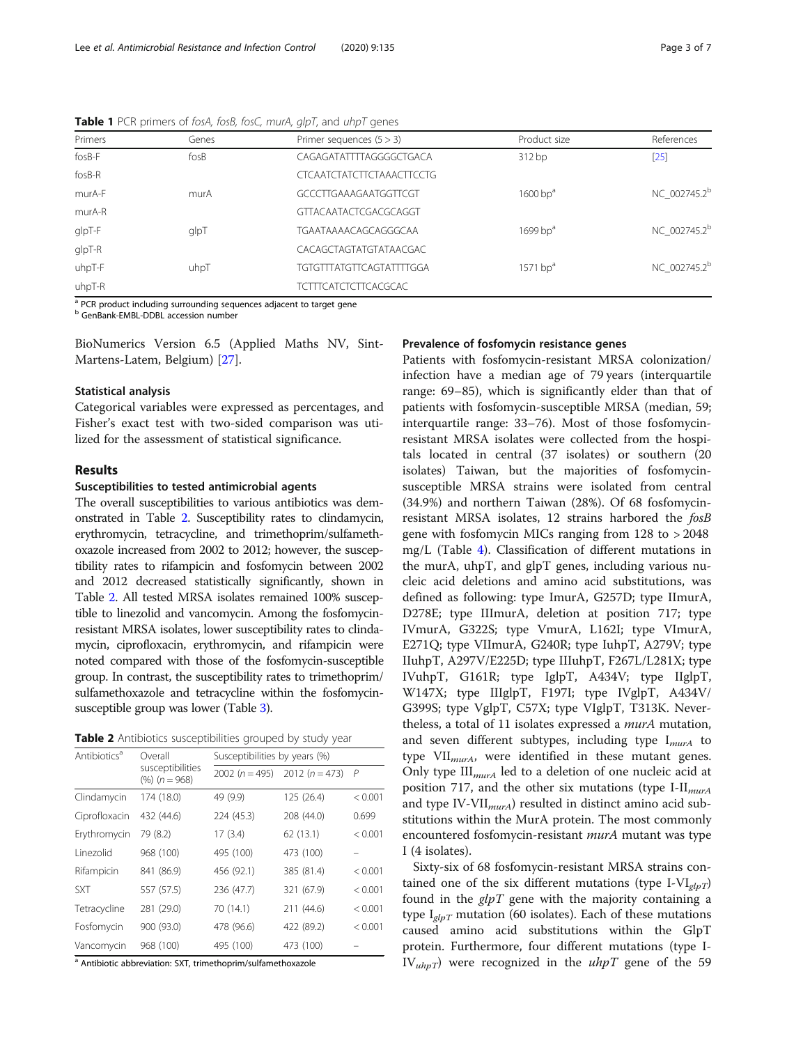| Primers       | Genes | Primer sequences $(5 > 3)$      | Product size           | References               |  |  |
|---------------|-------|---------------------------------|------------------------|--------------------------|--|--|
| $f$ os $B$ -F | fosB  | CAGAGATATTTTAGGGGCTGACA         | 312bp                  | $[25]$                   |  |  |
| fosB-R        |       | CTCAATCTATCTTCTAAACTTCCTG       |                        |                          |  |  |
| murA-F        | murA  | GCCCTTGAAAGAATGGTTCGT           | $1600$ bp <sup>a</sup> |                          |  |  |
| murA-R        |       | GTTACAATACTCGACGCAGGT           |                        |                          |  |  |
| glpT-F        | glpT  | TGAATAAAACAGCAGGGCAA            | $1699$ bp <sup>a</sup> | NC 002745.2 <sup>b</sup> |  |  |
| glpT-R        |       | CACAGCTAGTATGTATAACGAC          |                        |                          |  |  |
| uhpT-F        | uhpT  | <b>TGTGTTTATGTTCAGTATTTTGGA</b> | $1571$ bp <sup>a</sup> | NC 002745.2 <sup>b</sup> |  |  |
| uhpT-R        |       | <b>TCTTTCATCTCTTCACGCAC</b>     |                        |                          |  |  |

<span id="page-2-0"></span>Table 1 PCR primers of fosA, fosB, fosC, murA, glpT, and uhpT genes

<sup>a</sup> PCR product including surrounding sequences adjacent to target gene

**b** GenBank-EMBL-DDBL accession number

BioNumerics Version 6.5 (Applied Maths NV, Sint-Martens-Latem, Belgium) [[27\]](#page-5-0).

#### Statistical analysis

Categorical variables were expressed as percentages, and Fisher's exact test with two-sided comparison was utilized for the assessment of statistical significance.

#### Results

#### Susceptibilities to tested antimicrobial agents

The overall susceptibilities to various antibiotics was demonstrated in Table 2. Susceptibility rates to clindamycin, erythromycin, tetracycline, and trimethoprim/sulfamethoxazole increased from 2002 to 2012; however, the susceptibility rates to rifampicin and fosfomycin between 2002 and 2012 decreased statistically significantly, shown in Table 2. All tested MRSA isolates remained 100% susceptible to linezolid and vancomycin. Among the fosfomycinresistant MRSA isolates, lower susceptibility rates to clindamycin, ciprofloxacin, erythromycin, and rifampicin were noted compared with those of the fosfomycin-susceptible group. In contrast, the susceptibility rates to trimethoprim/ sulfamethoxazole and tetracycline within the fosfomycinsusceptible group was lower (Table [3](#page-3-0)).

Table 2 Antibiotics susceptibilities grouped by study year

| Antibiotics <sup>a</sup> | Overall                             | Susceptibilities by years (%) |                  |                |  |  |  |  |
|--------------------------|-------------------------------------|-------------------------------|------------------|----------------|--|--|--|--|
|                          | susceptibilities<br>$(%) (n = 968)$ | 2002 $(n = 495)$              | 2012 $(n = 473)$ | $\overline{P}$ |  |  |  |  |
| Clindamycin              | 174 (18.0)                          | 49 (9.9)                      | 125 (26.4)       | < 0.001        |  |  |  |  |
| Ciprofloxacin            | 432 (44.6)                          | 224 (45.3)                    | 208 (44.0)       | 0.699          |  |  |  |  |
| Erythromycin             | 79 (8.2)                            | 17(3.4)                       | 62 (13.1)        | < 0.001        |  |  |  |  |
| Linezolid                | 968 (100)                           | 495 (100)                     | 473 (100)        |                |  |  |  |  |
| Rifampicin               | 841 (86.9)                          | 456 (92.1)                    | 385 (81.4)       | < 0.001        |  |  |  |  |
| <b>SXT</b>               | 557 (57.5)                          | 236 (47.7)                    | 321 (67.9)       | < 0.001        |  |  |  |  |
| Tetracycline             | 281 (29.0)                          | 70 (14.1)                     | 211(44.6)        | < 0.001        |  |  |  |  |
| Fosfomycin               | 900 (93.0)                          | 478 (96.6)                    | 422 (89.2)       | < 0.001        |  |  |  |  |
| Vancomycin               | 968 (100)                           | 495 (100)                     | 473 (100)        |                |  |  |  |  |

a Antibiotic abbreviation: SXT, trimethoprim/sulfamethoxazole

# Prevalence of fosfomycin resistance genes

Patients with fosfomycin-resistant MRSA colonization/ infection have a median age of 79 years (interquartile range: 69–85), which is significantly elder than that of patients with fosfomycin-susceptible MRSA (median, 59; interquartile range: 33–76). Most of those fosfomycinresistant MRSA isolates were collected from the hospitals located in central (37 isolates) or southern (20 isolates) Taiwan, but the majorities of fosfomycinsusceptible MRSA strains were isolated from central (34.9%) and northern Taiwan (28%). Of 68 fosfomycinresistant MRSA isolates, 12 strains harbored the fosB gene with fosfomycin MICs ranging from 128 to > 2048 mg/L (Table [4](#page-3-0)). Classification of different mutations in the murA, uhpT, and glpT genes, including various nucleic acid deletions and amino acid substitutions, was defined as following: type ImurA, G257D; type IImurA, D278E; type IIImurA, deletion at position 717; type IVmurA, G322S; type VmurA, L162I; type VImurA, E271Q; type VIImurA, G240R; type IuhpT, A279V; type IIuhpT, A297V/E225D; type IIIuhpT, F267L/L281X; type IVuhpT, G161R; type IglpT, A434V; type IIglpT, W147X; type IIIglpT, F197I; type IVglpT, A434V/ G399S; type VglpT, C57X; type VIglpT, T313K. Nevertheless, a total of 11 isolates expressed a murA mutation, and seven different subtypes, including type  $I_{murA}$  to type  $VII_{murA}$ , were identified in these mutant genes. Only type  $III_{murA}$  led to a deletion of one nucleic acid at position 717, and the other six mutations (type I-II $_{murA}$ ) and type IV-VII $_{murA}$ ) resulted in distinct amino acid substitutions within the MurA protein. The most commonly encountered fosfomycin-resistant murA mutant was type I (4 isolates).

Sixty-six of 68 fosfomycin-resistant MRSA strains contained one of the six different mutations (type I-VI $_{elpT}$ ) found in the  $glpT$  gene with the majority containing a type  $I_{glpT}$  mutation (60 isolates). Each of these mutations caused amino acid substitutions within the GlpT protein. Furthermore, four different mutations (type I- $IV_{\mu\mu pT}$ ) were recognized in the  $\mu npT$  gene of the 59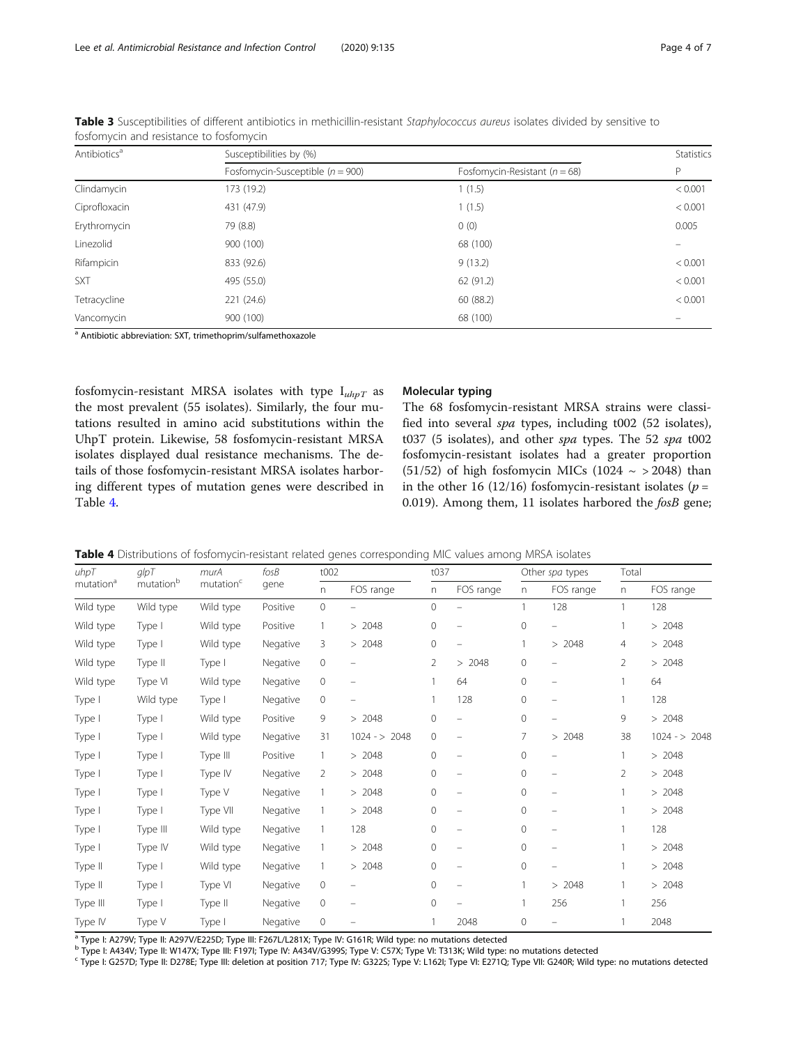| Antibiotics <sup>a</sup> | Susceptibilities by (%)              | Statistics                        |         |
|--------------------------|--------------------------------------|-----------------------------------|---------|
|                          | Fosfomycin-Susceptible ( $n = 900$ ) | Fosfomycin-Resistant ( $n = 68$ ) | P       |
| Clindamycin              | 173 (19.2)                           | 1(1.5)                            | < 0.001 |
| Ciprofloxacin            | 431 (47.9)                           | 1(1.5)                            | < 0.001 |
| Erythromycin             | 79 (8.8)                             | 0(0)                              | 0.005   |
| Linezolid                | 900 (100)                            | 68 (100)                          |         |
| Rifampicin               | 833 (92.6)                           | 9(13.2)                           | < 0.001 |
| <b>SXT</b>               | 495 (55.0)                           | 62 (91.2)                         | < 0.001 |
| Tetracycline             | 221 (24.6)                           | 60 (88.2)                         | < 0.001 |
| Vancomycin               | 900 (100)                            | 68 (100)                          |         |

<span id="page-3-0"></span>Table 3 Susceptibilities of different antibiotics in methicillin-resistant Staphylococcus aureus isolates divided by sensitive to fosfomycin and resistance to fosfomycin

<sup>a</sup> Antibiotic abbreviation: SXT, trimethoprim/sulfamethoxazole

fosfomycin-resistant MRSA isolates with type  $I_{uhpT}$  as the most prevalent (55 isolates). Similarly, the four mutations resulted in amino acid substitutions within the UhpT protein. Likewise, 58 fosfomycin-resistant MRSA isolates displayed dual resistance mechanisms. The details of those fosfomycin-resistant MRSA isolates harboring different types of mutation genes were described in Table 4.

# Molecular typing

The 68 fosfomycin-resistant MRSA strains were classified into several spa types, including t002 (52 isolates), t037 (5 isolates), and other spa types. The 52 spa t002 fosfomycin-resistant isolates had a greater proportion (51/52) of high fosfomycin MICs (1024  $\sim$  > 2048) than in the other 16 (12/16) fosfomycin-resistant isolates ( $p =$ 0.019). Among them, 11 isolates harbored the *fosB* gene;

|  |  |  |  |  | Table 4 Distributions of fosfomycin-resistant related genes corresponding MIC values among MRSA isolates |
|--|--|--|--|--|----------------------------------------------------------------------------------------------------------|
|--|--|--|--|--|----------------------------------------------------------------------------------------------------------|

| uhpT<br>mutation <sup>a</sup> | $g$ $pT$<br>$mutationb$ | murA<br>$mutationc$ | $f$ os $B$<br>gene | t002         |                          | t037           |                          | Other spa types |                          | Total          |               |
|-------------------------------|-------------------------|---------------------|--------------------|--------------|--------------------------|----------------|--------------------------|-----------------|--------------------------|----------------|---------------|
|                               |                         |                     |                    | n            | FOS range                | n              | FOS range                | n               | FOS range                | n              | FOS range     |
| Wild type                     | Wild type               | Wild type           | Positive           | 0            |                          | 0              |                          | $\mathbf{1}$    | 128                      | 1              | 128           |
| Wild type                     | Type I                  | Wild type           | Positive           | 1            | > 2048                   | 0              | $\overline{\phantom{m}}$ | $\mathbf{0}$    |                          | 1              | > 2048        |
| Wild type                     | Type I                  | Wild type           | Negative           | 3            | >2048                    | 0              | $\overline{\phantom{m}}$ | $\mathbf{1}$    | 2048<br>$\geq$           | 4              | >2048         |
| Wild type                     | Type II                 | Type I              | Negative           | 0            | $\overline{\phantom{m}}$ | $\overline{2}$ | >2048                    | $\mathbf{0}$    | $\overline{\phantom{m}}$ | $\overline{2}$ | >2048         |
| Wild type                     | Type VI                 | Wild type           | Negative           | 0            |                          | 1              | 64                       | $\mathbf{0}$    | $\overline{\phantom{m}}$ | 1              | 64            |
| Type I                        | Wild type               | Type I              | Negative           | 0            |                          |                | 128                      | 0               | $\qquad \qquad -$        | 1              | 128           |
| Type I                        | Type I                  | Wild type           | Positive           | 9            | > 2048                   | 0              |                          | $\mathbf 0$     |                          | 9              | > 2048        |
| Type I                        | Type I                  | Wild type           | Negative           | 31           | $1024 - 2048$            | 0              | -                        | 7               | >2048                    | 38             | $1024 - 2048$ |
| Type I                        | Type I                  | Type III            | Positive           | $\mathbf{1}$ | > 2048                   | 0              | $\overline{\phantom{m}}$ | $\mathbf{0}$    | $\overline{\phantom{m}}$ | 1              | >2048         |
| Type I                        | Type I                  | Type IV             | Negative           | 2            | >2048                    | 0              | $\overline{\phantom{m}}$ | $\Omega$        | $\overline{\phantom{m}}$ | $\overline{2}$ | >2048         |
| Type I                        | Type I                  | Type V              | Negative           | $\mathbf{1}$ | > 2048                   | 0              | $\overline{\phantom{m}}$ | $\mathbf{0}$    | $\overline{\phantom{m}}$ | 1              | >2048         |
| Type I                        | Type I                  | Type VII            | Negative           | 1            | > 2048                   | 0              | $\overline{\phantom{m}}$ | $\mathbf{0}$    | $\overline{\phantom{m}}$ | 1              | > 2048        |
| Type I                        | Type III                | Wild type           | Negative           |              | 128                      | 0              | $\overline{\phantom{0}}$ | $\mathbf{0}$    | $\overline{\phantom{m}}$ | 1              | 128           |
| Type I                        | Type IV                 | Wild type           | Negative           | 1            | >2048                    | 0              | -                        | $\mathbf{0}$    | $\qquad \qquad -$        | 1              | >2048         |
| Type II                       | Type I                  | Wild type           | Negative           | 1            | > 2048                   | 0              |                          | $\mathbf{0}$    | -                        | 1              | > 2048        |
| Type II                       | Type I                  | Type VI             | Negative           | 0            |                          | 0              |                          | $\mathbf{1}$    | > 2048                   | 1              | >2048         |
| Type III                      | Type I                  | Type II             | Negative           | 0            |                          | 0              |                          |                 | 256                      | 1              | 256           |
| Type IV                       | Type V                  | Type I              | Negative           | 0            |                          |                | 2048                     | $\mathbf{0}$    |                          | 1              | 2048          |

<sup>a</sup> Type I: A279V; Type II: A297V/E225D; Type III: F267L/L281X; Type IV: G161R; Wild type: no mutations detected

<sup>b</sup> Type I: A434V; Type II: W147X; Type III: F197I; Type IV: A434V/G399S; Type V: C57X; Type VI: T313K; Wild type: no mutations detected

<sup>c</sup> Type I: G257D; Type II: D278E; Type III: deletion at position 717; Type IV: G322S; Type V. L162I; Type VI: E271Q; Type VII: G240R; Wild type: no mutations detected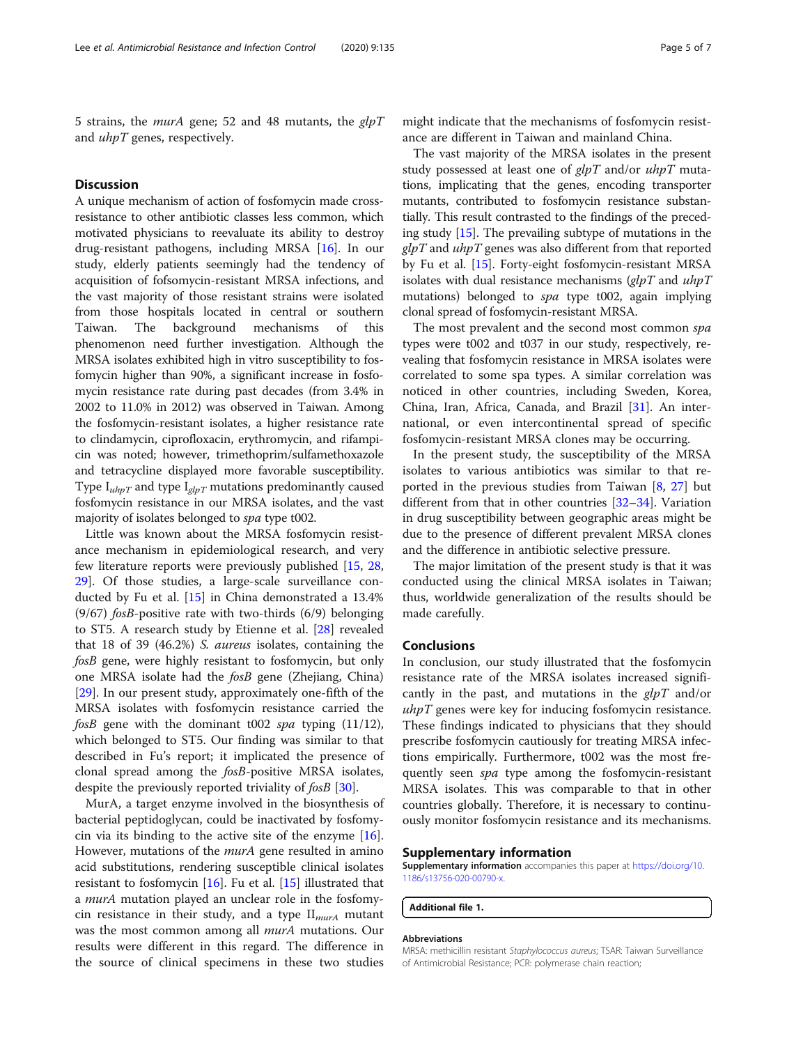5 strains, the *murA* gene; 52 and 48 mutants, the  $glpT$ and *uhpT* genes, respectively.

# **Discussion**

A unique mechanism of action of fosfomycin made crossresistance to other antibiotic classes less common, which motivated physicians to reevaluate its ability to destroy drug-resistant pathogens, including MRSA [\[16\]](#page-5-0). In our study, elderly patients seemingly had the tendency of acquisition of fofsomycin-resistant MRSA infections, and the vast majority of those resistant strains were isolated from those hospitals located in central or southern Taiwan. The background mechanisms of this phenomenon need further investigation. Although the MRSA isolates exhibited high in vitro susceptibility to fosfomycin higher than 90%, a significant increase in fosfomycin resistance rate during past decades (from 3.4% in 2002 to 11.0% in 2012) was observed in Taiwan. Among the fosfomycin-resistant isolates, a higher resistance rate to clindamycin, ciprofloxacin, erythromycin, and rifampicin was noted; however, trimethoprim/sulfamethoxazole and tetracycline displayed more favorable susceptibility. Type  $I_{\mu h pT}$  and type  $I_{\mu l pT}$  mutations predominantly caused fosfomycin resistance in our MRSA isolates, and the vast majority of isolates belonged to spa type t002.

Little was known about the MRSA fosfomycin resistance mechanism in epidemiological research, and very few literature reports were previously published [[15,](#page-5-0) [28](#page-5-0), [29\]](#page-6-0). Of those studies, a large-scale surveillance conducted by Fu et al. [[15](#page-5-0)] in China demonstrated a 13.4% (9/67) fosB-positive rate with two-thirds (6/9) belonging to ST5. A research study by Etienne et al. [\[28](#page-5-0)] revealed that 18 of 39 (46.2%) S. aureus isolates, containing the fosB gene, were highly resistant to fosfomycin, but only one MRSA isolate had the fosB gene (Zhejiang, China) [[29\]](#page-6-0). In our present study, approximately one-fifth of the MRSA isolates with fosfomycin resistance carried the fosB gene with the dominant t002 spa typing  $(11/12)$ , which belonged to ST5. Our finding was similar to that described in Fu's report; it implicated the presence of clonal spread among the fosB-positive MRSA isolates, despite the previously reported triviality of *fosB* [[30](#page-6-0)].

MurA, a target enzyme involved in the biosynthesis of bacterial peptidoglycan, could be inactivated by fosfomycin via its binding to the active site of the enzyme [\[16](#page-5-0)]. However, mutations of the *murA* gene resulted in amino acid substitutions, rendering susceptible clinical isolates resistant to fosfomycin  $[16]$  $[16]$  $[16]$ . Fu et al.  $[15]$  $[15]$  illustrated that a murA mutation played an unclear role in the fosfomycin resistance in their study, and a type  $II_{murA}$  mutant was the most common among all *murA* mutations. Our results were different in this regard. The difference in the source of clinical specimens in these two studies

might indicate that the mechanisms of fosfomycin resistance are different in Taiwan and mainland China.

The vast majority of the MRSA isolates in the present study possessed at least one of  $glpT$  and/or  $uhpT$  mutations, implicating that the genes, encoding transporter mutants, contributed to fosfomycin resistance substantially. This result contrasted to the findings of the preceding study [[15](#page-5-0)]. The prevailing subtype of mutations in the  $glpT$  and  $uhpT$  genes was also different from that reported by Fu et al. [[15](#page-5-0)]. Forty-eight fosfomycin-resistant MRSA isolates with dual resistance mechanisms  $\left(\frac{glp}{I}\right)$  and  $\mu\left(\frac{hl}{I}\right)$ mutations) belonged to spa type t002, again implying clonal spread of fosfomycin-resistant MRSA.

The most prevalent and the second most common spa types were t002 and t037 in our study, respectively, revealing that fosfomycin resistance in MRSA isolates were correlated to some spa types. A similar correlation was noticed in other countries, including Sweden, Korea, China, Iran, Africa, Canada, and Brazil [[31\]](#page-6-0). An international, or even intercontinental spread of specific fosfomycin-resistant MRSA clones may be occurring.

In the present study, the susceptibility of the MRSA isolates to various antibiotics was similar to that reported in the previous studies from Taiwan [[8,](#page-5-0) [27\]](#page-5-0) but different from that in other countries [\[32](#page-6-0)–[34\]](#page-6-0). Variation in drug susceptibility between geographic areas might be due to the presence of different prevalent MRSA clones and the difference in antibiotic selective pressure.

The major limitation of the present study is that it was conducted using the clinical MRSA isolates in Taiwan; thus, worldwide generalization of the results should be made carefully.

#### Conclusions

In conclusion, our study illustrated that the fosfomycin resistance rate of the MRSA isolates increased significantly in the past, and mutations in the  $glpT$  and/or  *genes were key for inducing fosfomycin resistance.* These findings indicated to physicians that they should prescribe fosfomycin cautiously for treating MRSA infections empirically. Furthermore, t002 was the most frequently seen *spa* type among the fosfomycin-resistant MRSA isolates. This was comparable to that in other countries globally. Therefore, it is necessary to continuously monitor fosfomycin resistance and its mechanisms.

#### Supplementary information

Supplementary information accompanies this paper at [https://doi.org/10.](https://doi.org/10.1186/s13756-020-00790-x) [1186/s13756-020-00790-x.](https://doi.org/10.1186/s13756-020-00790-x)

Additional file 1.

#### Abbreviations

MRSA: methicillin resistant Staphylococcus aureus; TSAR: Taiwan Surveillance of Antimicrobial Resistance; PCR: polymerase chain reaction;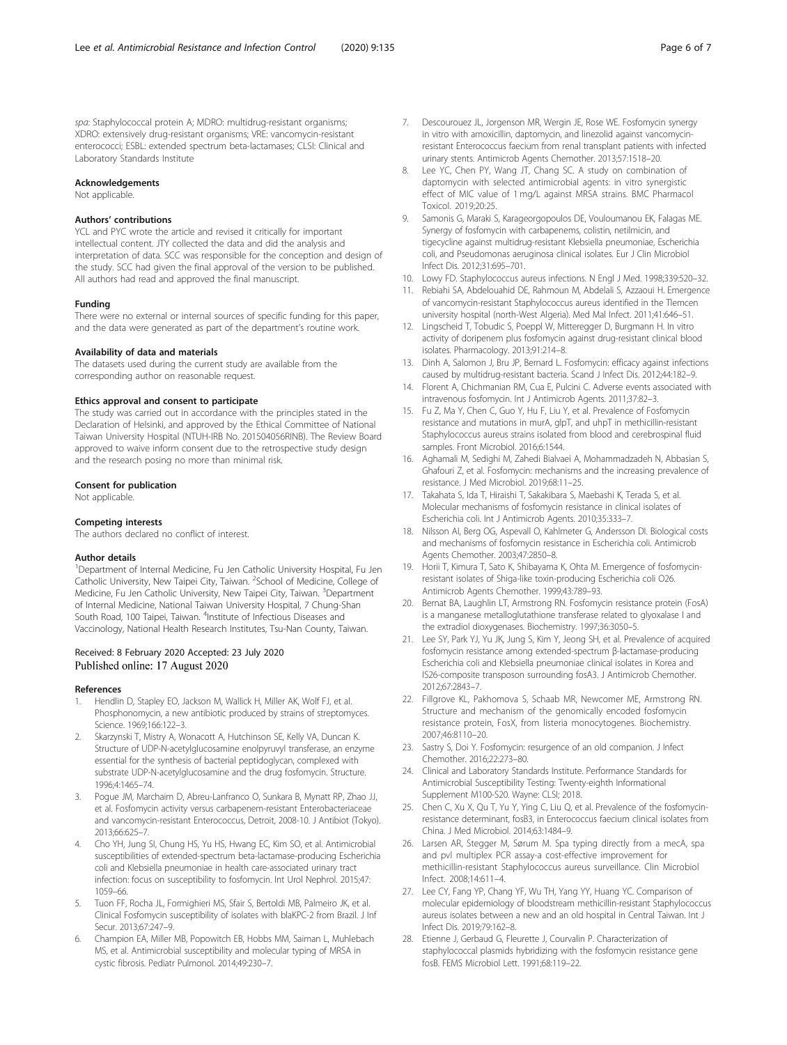<span id="page-5-0"></span>spa: Staphylococcal protein A; MDRO: multidrug-resistant organisms; XDRO: extensively drug-resistant organisms; VRE: vancomycin-resistant enterococci; ESBL: extended spectrum beta-lactamases; CLSI: Clinical and Laboratory Standards Institute

#### Acknowledgements

Not applicable.

#### Authors' contributions

YCL and PYC wrote the article and revised it critically for important intellectual content. JTY collected the data and did the analysis and interpretation of data. SCC was responsible for the conception and design of the study. SCC had given the final approval of the version to be published. All authors had read and approved the final manuscript.

#### Funding

There were no external or internal sources of specific funding for this paper, and the data were generated as part of the department's routine work.

#### Availability of data and materials

The datasets used during the current study are available from the corresponding author on reasonable request.

#### Ethics approval and consent to participate

The study was carried out in accordance with the principles stated in the Declaration of Helsinki, and approved by the Ethical Committee of National Taiwan University Hospital (NTUH-IRB No. 201504056RINB). The Review Board approved to waive inform consent due to the retrospective study design and the research posing no more than minimal risk.

#### Consent for publication

Not applicable.

#### Competing interests

The authors declared no conflict of interest.

#### Author details

<sup>1</sup>Department of Internal Medicine, Fu Jen Catholic University Hospital, Fu Jen Catholic University, New Taipei City, Taiwan. <sup>2</sup>School of Medicine, College of Medicine, Fu Jen Catholic University, New Taipei City, Taiwan. <sup>3</sup>Department of Internal Medicine, National Taiwan University Hospital, 7 Chung-Shan South Road, 100 Taipei, Taiwan. <sup>4</sup>Institute of Infectious Diseases and Vaccinology, National Health Research Institutes, Tsu-Nan County, Taiwan.

# Received: 8 February 2020 Accepted: 23 July 2020 Published online: 17 August 2020

#### References

- 1. Hendlin D, Stapley EO, Jackson M, Wallick H, Miller AK, Wolf FJ, et al. Phosphonomycin, a new antibiotic produced by strains of streptomyces. Science. 1969;166:122–3.
- 2. Skarzynski T, Mistry A, Wonacott A, Hutchinson SE, Kelly VA, Duncan K. Structure of UDP-N-acetylglucosamine enolpyruvyl transferase, an enzyme essential for the synthesis of bacterial peptidoglycan, complexed with substrate UDP-N-acetylglucosamine and the drug fosfomycin. Structure. 1996;4:1465–74.
- 3. Pogue JM, Marchaim D, Abreu-Lanfranco O, Sunkara B, Mynatt RP, Zhao JJ, et al. Fosfomycin activity versus carbapenem-resistant Enterobacteriaceae and vancomycin-resistant Enterococcus, Detroit, 2008-10. J Antibiot (Tokyo). 2013;66:625–7.
- 4. Cho YH, Jung SI, Chung HS, Yu HS, Hwang EC, Kim SO, et al. Antimicrobial susceptibilities of extended-spectrum beta-lactamase-producing Escherichia coli and Klebsiella pneumoniae in health care-associated urinary tract infection: focus on susceptibility to fosfomycin. Int Urol Nephrol. 2015;47: 1059–66.
- 5. Tuon FF, Rocha JL, Formighieri MS, Sfair S, Bertoldi MB, Palmeiro JK, et al. Clinical Fosfomycin susceptibility of isolates with blaKPC-2 from Brazil. J Inf Secur. 2013;67:247–9.
- 6. Champion EA, Miller MB, Popowitch EB, Hobbs MM, Saiman L, Muhlebach MS, et al. Antimicrobial susceptibility and molecular typing of MRSA in cystic fibrosis. Pediatr Pulmonol. 2014;49:230–7.
- 7. Descourouez JL, Jorgenson MR, Wergin JE, Rose WE. Fosfomycin synergy in vitro with amoxicillin, daptomycin, and linezolid against vancomycinresistant Enterococcus faecium from renal transplant patients with infected urinary stents. Antimicrob Agents Chemother. 2013;57:1518–20.
- 8. Lee YC, Chen PY, Wang JT, Chang SC. A study on combination of daptomycin with selected antimicrobial agents: in vitro synergistic effect of MIC value of 1 mg/L against MRSA strains. BMC Pharmacol Toxicol. 2019;20:25.
- 9. Samonis G, Maraki S, Karageorgopoulos DE, Vouloumanou EK, Falagas ME. Synergy of fosfomycin with carbapenems, colistin, netilmicin, and tigecycline against multidrug-resistant Klebsiella pneumoniae, Escherichia coli, and Pseudomonas aeruginosa clinical isolates. Eur J Clin Microbiol Infect Dis. 2012;31:695–701.
- 10. Lowy FD. Staphylococcus aureus infections. N Engl J Med. 1998;339:520–32.
- 11. Rebiahi SA, Abdelouahid DE, Rahmoun M, Abdelali S, Azzaoui H. Emergence of vancomycin-resistant Staphylococcus aureus identified in the Tlemcen university hospital (north-West Algeria). Med Mal Infect. 2011;41:646–51.
- 12. Lingscheid T, Tobudic S, Poeppl W, Mitteregger D, Burgmann H. In vitro activity of doripenem plus fosfomycin against drug-resistant clinical blood isolates. Pharmacology. 2013;91:214–8.
- 13. Dinh A, Salomon J, Bru JP, Bernard L. Fosfomycin: efficacy against infections caused by multidrug-resistant bacteria. Scand J Infect Dis. 2012;44:182–9.
- 14. Florent A, Chichmanian RM, Cua E, Pulcini C. Adverse events associated with intravenous fosfomycin. Int J Antimicrob Agents. 2011;37:82–3.
- 15. Fu Z, Ma Y, Chen C, Guo Y, Hu F, Liu Y, et al. Prevalence of Fosfomycin resistance and mutations in murA, glpT, and uhpT in methicillin-resistant Staphylococcus aureus strains isolated from blood and cerebrospinal fluid samples. Front Microbiol. 2016;6:1544.
- 16. Aghamali M, Sedighi M, Zahedi Bialvaei A, Mohammadzadeh N, Abbasian S, Ghafouri Z, et al. Fosfomycin: mechanisms and the increasing prevalence of resistance. J Med Microbiol. 2019;68:11–25.
- 17. Takahata S, Ida T, Hiraishi T, Sakakibara S, Maebashi K, Terada S, et al. Molecular mechanisms of fosfomycin resistance in clinical isolates of Escherichia coli. Int J Antimicrob Agents. 2010;35:333–7.
- 18. Nilsson AI, Berg OG, Aspevall O, Kahlmeter G, Andersson DI. Biological costs and mechanisms of fosfomycin resistance in Escherichia coli. Antimicrob Agents Chemother. 2003;47:2850–8.
- 19. Horii T, Kimura T, Sato K, Shibayama K, Ohta M. Emergence of fosfomycinresistant isolates of Shiga-like toxin-producing Escherichia coli O26. Antimicrob Agents Chemother. 1999;43:789–93.
- 20. Bernat BA, Laughlin LT, Armstrong RN. Fosfomycin resistance protein (FosA) is a manganese metalloglutathione transferase related to glyoxalase I and the extradiol dioxygenases. Biochemistry. 1997;36:3050–5.
- 21. Lee SY, Park YJ, Yu JK, Jung S, Kim Y, Jeong SH, et al. Prevalence of acquired fosfomycin resistance among extended-spectrum β-lactamase-producing Escherichia coli and Klebsiella pneumoniae clinical isolates in Korea and IS26-composite transposon surrounding fosA3. J Antimicrob Chemother. 2012;67:2843–7.
- 22. Fillgrove KL, Pakhomova S, Schaab MR, Newcomer ME, Armstrong RN. Structure and mechanism of the genomically encoded fosfomycin resistance protein, FosX, from listeria monocytogenes. Biochemistry. 2007;46:8110–20.
- 23. Sastry S, Doi Y. Fosfomycin: resurgence of an old companion. J Infect Chemother. 2016;22:273–80.
- 24. Clinical and Laboratory Standards Institute. Performance Standards for Antimicrobial Susceptibility Testing: Twenty-eighth Informational Supplement M100-S20. Wayne: CLSI; 2018.
- 25. Chen C, Xu X, Qu T, Yu Y, Ying C, Liu Q, et al. Prevalence of the fosfomycinresistance determinant, fosB3, in Enterococcus faecium clinical isolates from China. J Med Microbiol. 2014;63:1484–9.
- 26. Larsen AR, Stegger M, Sørum M. Spa typing directly from a mecA, spa and pvl multiplex PCR assay-a cost-effective improvement for methicillin-resistant Staphylococcus aureus surveillance. Clin Microbiol Infect. 2008;14:611–4.
- 27. Lee CY, Fang YP, Chang YF, Wu TH, Yang YY, Huang YC. Comparison of molecular epidemiology of bloodstream methicillin-resistant Staphylococcus aureus isolates between a new and an old hospital in Central Taiwan. Int J Infect Dis. 2019;79:162–8.
- 28. Etienne J, Gerbaud G, Fleurette J, Courvalin P. Characterization of staphylococcal plasmids hybridizing with the fosfomycin resistance gene fosB. FEMS Microbiol Lett. 1991;68:119–22.